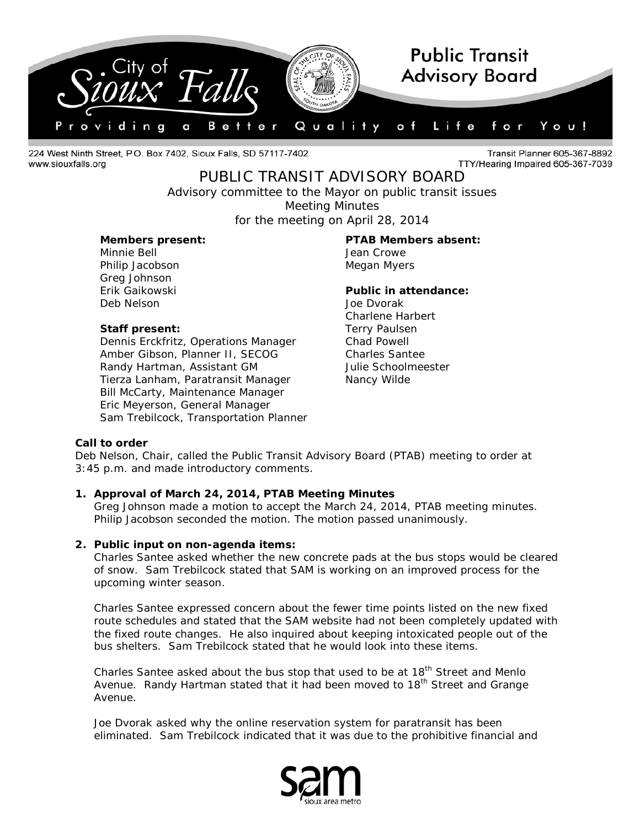

224 West Ninth Street, P.O. Box 7402, Sioux Falls, SD 57117-7402 www.siouxfalls.org

Transit Planner 605-367-8892 TTY/Hearing Impaired 605-367-7039

# PUBLIC TRANSIT ADVISORY BOARD

*Advisory committee to the Mayor on public transit issues* Meeting Minutes

for the meeting on April 28, 2014

Minnie Bell **Minnie Bell** Jean Crowe Philip Jacobson Megan Myers Greg Johnson Deb Nelson Joe Dvorak

# **Staff present:** Terry Paulsen

Dennis Erckfritz, Operations Manager Chad Powell Amber Gibson, Planner II, SECOG Charles Santee Randy Hartman, Assistant GM Julie Schoolmeester Tierza Lanham, Paratransit Manager Nancy Wilde Bill McCarty, Maintenance Manager Eric Meyerson, General Manager Sam Trebilcock, Transportation Planner

**Members present: PTAB Members absent:**

# Erik Gaikowski **Public in attendance:**

Charlene Harbert

# **Call to order**

Deb Nelson, Chair, called the Public Transit Advisory Board (PTAB) meeting to order at 3:45 p.m. and made introductory comments.

# **1. Approval of March 24, 2014, PTAB Meeting Minutes**

Greg Johnson made a motion to accept the March 24, 2014, PTAB meeting minutes. Philip Jacobson seconded the motion. The motion passed unanimously.

# **2. Public input on non-agenda items:**

Charles Santee asked whether the new concrete pads at the bus stops would be cleared of snow. Sam Trebilcock stated that SAM is working on an improved process for the upcoming winter season.

Charles Santee expressed concern about the fewer time points listed on the new fixed route schedules and stated that the SAM website had not been completely updated with the fixed route changes. He also inquired about keeping intoxicated people out of the bus shelters. Sam Trebilcock stated that he would look into these items.

Charles Santee asked about the bus stop that used to be at 18<sup>th</sup> Street and Menlo Avenue. Randy Hartman stated that it had been moved to 18<sup>th</sup> Street and Grange Avenue.

Joe Dvorak asked why the online reservation system for paratransit has been eliminated. Sam Trebilcock indicated that it was due to the prohibitive financial and

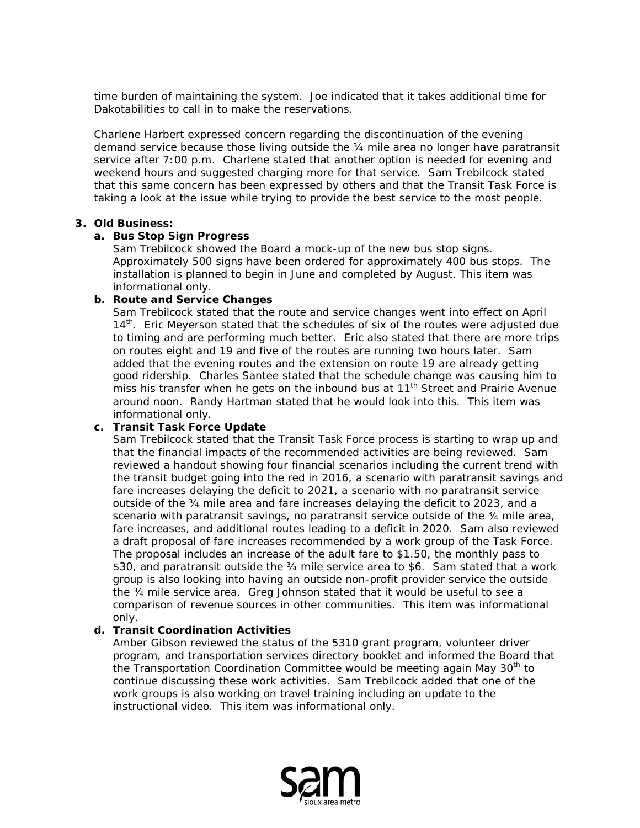time burden of maintaining the system. Joe indicated that it takes additional time for Dakotabilities to call in to make the reservations.

Charlene Harbert expressed concern regarding the discontinuation of the evening demand service because those living outside the ¾ mile area no longer have paratransit service after 7:00 p.m. Charlene stated that another option is needed for evening and weekend hours and suggested charging more for that service. Sam Trebilcock stated that this same concern has been expressed by others and that the Transit Task Force is taking a look at the issue while trying to provide the best service to the most people.

#### **3. Old Business:**

### **a. Bus Stop Sign Progress**

Sam Trebilcock showed the Board a mock-up of the new bus stop signs. Approximately 500 signs have been ordered for approximately 400 bus stops. The installation is planned to begin in June and completed by August. This item was informational only.

# **b. Route and Service Changes**

Sam Trebilcock stated that the route and service changes went into effect on April 14<sup>th</sup>. Eric Meyerson stated that the schedules of six of the routes were adjusted due to timing and are performing much better. Eric also stated that there are more trips on routes eight and 19 and five of the routes are running two hours later. Sam added that the evening routes and the extension on route 19 are already getting good ridership. Charles Santee stated that the schedule change was causing him to  $\frac{5}{10}$  miss his transfer when he gets on the inbound bus at 11<sup>th</sup> Street and Prairie Avenue around noon. Randy Hartman stated that he would look into this. This item was informational only.

# **c. Transit Task Force Update**

Sam Trebilcock stated that the Transit Task Force process is starting to wrap up and that the financial impacts of the recommended activities are being reviewed. Sam reviewed a handout showing four financial scenarios including the current trend with the transit budget going into the red in 2016, a scenario with paratransit savings and fare increases delaying the deficit to 2021, a scenario with no paratransit service outside of the ¾ mile area and fare increases delaying the deficit to 2023, and a scenario with paratransit savings, no paratransit service outside of the 34 mile area, fare increases, and additional routes leading to a deficit in 2020. Sam also reviewed a draft proposal of fare increases recommended by a work group of the Task Force. The proposal includes an increase of the adult fare to \$1.50, the monthly pass to \$30, and paratransit outside the 34 mile service area to \$6. Sam stated that a work group is also looking into having an outside non-profit provider service the outside the ¾ mile service area. Greg Johnson stated that it would be useful to see a comparison of revenue sources in other communities. This item was informational only.

# **d. Transit Coordination Activities**

Amber Gibson reviewed the status of the 5310 grant program, volunteer driver program, and transportation services directory booklet and informed the Board that the Transportation Coordination Committee would be meeting again May 30<sup>th</sup> to continue discussing these work activities. Sam Trebilcock added that one of the work groups is also working on travel training including an update to the instructional video. This item was informational only.